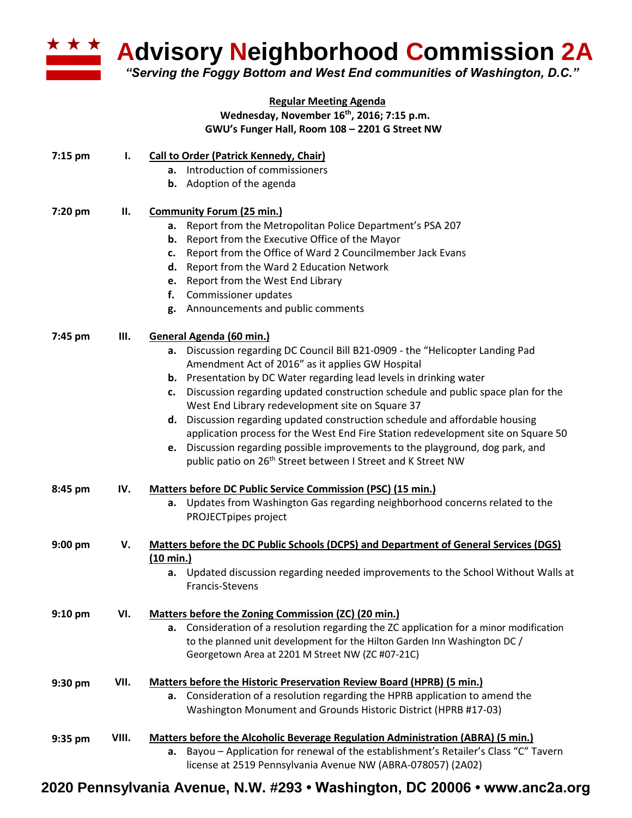

**Advisory Neighborhood Commission 2A** 

*"Serving the Foggy Bottom and West End communities of Washington, D.C."*

## **Regular Meeting Agenda Wednesday, November 16th , 2016; 7:15 p.m. GWU's Funger Hall, Room 108 – 2201 G Street NW**

| $7:15$ pm | ı.    | <b>Call to Order (Patrick Kennedy, Chair)</b>                                               |
|-----------|-------|---------------------------------------------------------------------------------------------|
|           |       | a. Introduction of commissioners                                                            |
|           |       | <b>b.</b> Adoption of the agenda                                                            |
|           |       |                                                                                             |
| 7:20 pm   | Н.    | <b>Community Forum (25 min.)</b>                                                            |
|           |       | a. Report from the Metropolitan Police Department's PSA 207                                 |
|           |       | b. Report from the Executive Office of the Mayor                                            |
|           |       | c. Report from the Office of Ward 2 Councilmember Jack Evans                                |
|           |       | d. Report from the Ward 2 Education Network                                                 |
|           |       | e. Report from the West End Library                                                         |
|           |       | f. Commissioner updates                                                                     |
|           |       | g. Announcements and public comments                                                        |
| 7:45 pm   | Ш.    | General Agenda (60 min.)                                                                    |
|           |       | a. Discussion regarding DC Council Bill B21-0909 - the "Helicopter Landing Pad              |
|           |       | Amendment Act of 2016" as it applies GW Hospital                                            |
|           |       | b. Presentation by DC Water regarding lead levels in drinking water                         |
|           |       | c. Discussion regarding updated construction schedule and public space plan for the         |
|           |       | West End Library redevelopment site on Square 37                                            |
|           |       | d. Discussion regarding updated construction schedule and affordable housing                |
|           |       | application process for the West End Fire Station redevelopment site on Square 50           |
|           |       | e. Discussion regarding possible improvements to the playground, dog park, and              |
|           |       | public patio on 26 <sup>th</sup> Street between I Street and K Street NW                    |
|           |       |                                                                                             |
| 8:45 pm   | IV.   | <b>Matters before DC Public Service Commission (PSC) (15 min.)</b>                          |
|           |       | a. Updates from Washington Gas regarding neighborhood concerns related to the               |
|           |       | PROJECTpipes project                                                                        |
| $9:00$ pm | V.    | <b>Matters before the DC Public Schools (DCPS) and Department of General Services (DGS)</b> |
|           |       | $(10 \text{ min.})$                                                                         |
|           |       | a. Updated discussion regarding needed improvements to the School Without Walls at          |
|           |       | Francis-Stevens                                                                             |
| $9:10$ pm | VI.   | Matters before the Zoning Commission (ZC) (20 min.)                                         |
|           |       | a. Consideration of a resolution regarding the ZC application for a minor modification      |
|           |       | to the planned unit development for the Hilton Garden Inn Washington DC /                   |
|           |       | Georgetown Area at 2201 M Street NW (ZC #07-21C)                                            |
| 9:30 pm   | VII.  | <b>Matters before the Historic Preservation Review Board (HPRB) (5 min.)</b>                |
|           |       | a. Consideration of a resolution regarding the HPRB application to amend the                |
|           |       | Washington Monument and Grounds Historic District (HPRB #17-03)                             |
|           | VIII. | <b>Matters before the Alcoholic Beverage Regulation Administration (ABRA) (5 min.)</b>      |
| 9:35 pm   |       | Bayou - Application for renewal of the establishment's Retailer's Class "C" Tavern<br>а.    |
|           |       | license at 2519 Pennsylvania Avenue NW (ABRA-078057) (2A02)                                 |
|           |       |                                                                                             |

**2020 Pennsylvania Avenue, N.W. #293 • Washington, DC 20006 • www.anc2a.org**